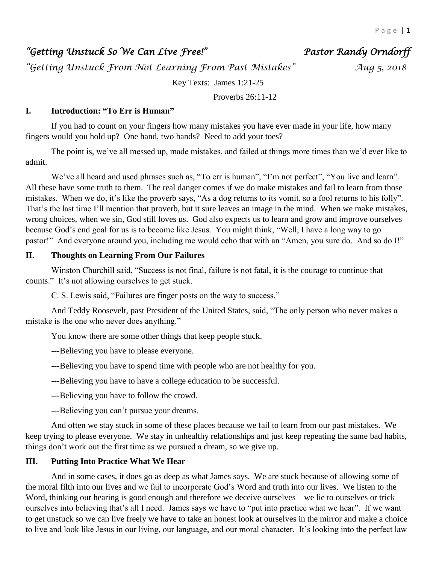# *"Getting Unstuck So We Can Live Free!" Pastor Randy Orndorff*

*"Getting Unstuck From Not Learning From Past Mistakes" Aug 5, 2018* 

Key Texts: James 1:21-25

Proverbs 26:11-12

# **I. Introduction: "To Err is Human"**

If you had to count on your fingers how many mistakes you have ever made in your life, how many fingers would you hold up? One hand, two hands? Need to add your toes?

The point is, we've all messed up, made mistakes, and failed at things more times than we'd ever like to admit.

We've all heard and used phrases such as, "To err is human", "I'm not perfect", "You live and learn". All these have some truth to them. The real danger comes if we do make mistakes and fail to learn from those mistakes. When we do, it's like the proverb says, "As a dog returns to its vomit, so a fool returns to his folly". That's the last time I'll mention that proverb, but it sure leaves an image in the mind. When we make mistakes, wrong choices, when we sin, God still loves us. God also expects us to learn and grow and improve ourselves because God's end goal for us is to become like Jesus. You might think, "Well, I have a long way to go pastor!" And everyone around you, including me would echo that with an "Amen, you sure do. And so do I!"

## **II. Thoughts on Learning From Our Failures**

Winston Churchill said, "Success is not final, failure is not fatal, it is the courage to continue that counts." It's not allowing ourselves to get stuck.

C. S. Lewis said, "Failures are finger posts on the way to success."

And Teddy Roosevelt, past President of the United States, said, "The only person who never makes a mistake is the one who never does anything."

You know there are some other things that keep people stuck.

---Believing you have to please everyone.

---Believing you have to spend time with people who are not healthy for you.

---Believing you have to have a college education to be successful.

---Believing you have to follow the crowd.

---Believing you can't pursue your dreams.

And often we stay stuck in some of these places because we fail to learn from our past mistakes. We keep trying to please everyone. We stay in unhealthy relationships and just keep repeating the same bad habits, things don't work out the first time as we pursued a dream, so we give up.

# **III. Putting Into Practice What We Hear**

And in some cases, it does go as deep as what James says. We are stuck because of allowing some of the moral filth into our lives and we fail to incorporate God's Word and truth into our lives. We listen to the Word, thinking our hearing is good enough and therefore we deceive ourselves—we lie to ourselves or trick ourselves into believing that's all I need. James says we have to "put into practice what we hear". If we want to get unstuck so we can live freely we have to take an honest look at ourselves in the mirror and make a choice to live and look like Jesus in our living, our language, and our moral character. It's looking into the perfect law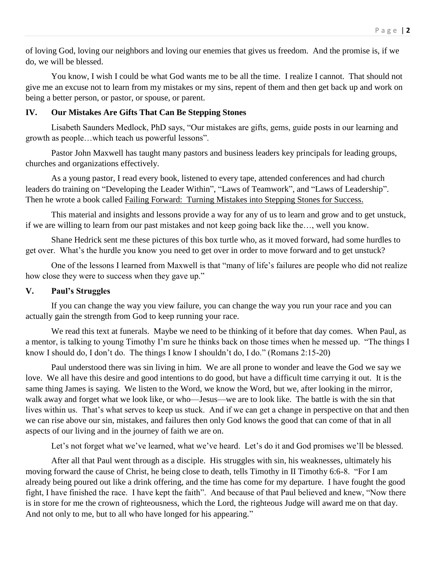of loving God, loving our neighbors and loving our enemies that gives us freedom. And the promise is, if we do, we will be blessed.

You know, I wish I could be what God wants me to be all the time. I realize I cannot. That should not give me an excuse not to learn from my mistakes or my sins, repent of them and then get back up and work on being a better person, or pastor, or spouse, or parent.

### **IV. Our Mistakes Are Gifts That Can Be Stepping Stones**

Lisabeth Saunders Medlock, PhD says, "Our mistakes are gifts, gems, guide posts in our learning and growth as people…which teach us powerful lessons".

Pastor John Maxwell has taught many pastors and business leaders key principals for leading groups, churches and organizations effectively.

As a young pastor, I read every book, listened to every tape, attended conferences and had church leaders do training on "Developing the Leader Within", "Laws of Teamwork", and "Laws of Leadership". Then he wrote a book called Failing Forward: Turning Mistakes into Stepping Stones for Success.

This material and insights and lessons provide a way for any of us to learn and grow and to get unstuck, if we are willing to learn from our past mistakes and not keep going back like the…, well you know.

Shane Hedrick sent me these pictures of this box turtle who, as it moved forward, had some hurdles to get over. What's the hurdle you know you need to get over in order to move forward and to get unstuck?

One of the lessons I learned from Maxwell is that "many of life's failures are people who did not realize how close they were to success when they gave up."

### **V. Paul's Struggles**

If you can change the way you view failure, you can change the way you run your race and you can actually gain the strength from God to keep running your race.

We read this text at funerals. Maybe we need to be thinking of it before that day comes. When Paul, as a mentor, is talking to young Timothy I'm sure he thinks back on those times when he messed up. "The things I know I should do, I don't do. The things I know I shouldn't do, I do." (Romans 2:15-20)

Paul understood there was sin living in him. We are all prone to wonder and leave the God we say we love. We all have this desire and good intentions to do good, but have a difficult time carrying it out. It is the same thing James is saying. We listen to the Word, we know the Word, but we, after looking in the mirror, walk away and forget what we look like, or who—Jesus—we are to look like. The battle is with the sin that lives within us. That's what serves to keep us stuck. And if we can get a change in perspective on that and then we can rise above our sin, mistakes, and failures then only God knows the good that can come of that in all aspects of our living and in the journey of faith we are on.

Let's not forget what we've learned, what we've heard. Let's do it and God promises we'll be blessed.

After all that Paul went through as a disciple. His struggles with sin, his weaknesses, ultimately his moving forward the cause of Christ, he being close to death, tells Timothy in II Timothy 6:6-8. "For I am already being poured out like a drink offering, and the time has come for my departure. I have fought the good fight, I have finished the race. I have kept the faith". And because of that Paul believed and knew, "Now there is in store for me the crown of righteousness, which the Lord, the righteous Judge will award me on that day. And not only to me, but to all who have longed for his appearing."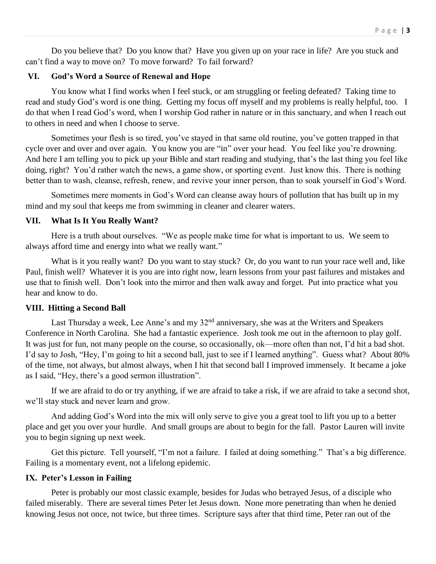Do you believe that? Do you know that? Have you given up on your race in life? Are you stuck and can't find a way to move on? To move forward? To fail forward?

# **VI. God's Word a Source of Renewal and Hope**

You know what I find works when I feel stuck, or am struggling or feeling defeated? Taking time to read and study God's word is one thing. Getting my focus off myself and my problems is really helpful, too. I do that when I read God's word, when I worship God rather in nature or in this sanctuary, and when I reach out to others in need and when I choose to serve.

Sometimes your flesh is so tired, you've stayed in that same old routine, you've gotten trapped in that cycle over and over and over again. You know you are "in" over your head. You feel like you're drowning. And here I am telling you to pick up your Bible and start reading and studying, that's the last thing you feel like doing, right? You'd rather watch the news, a game show, or sporting event. Just know this. There is nothing better than to wash, cleanse, refresh, renew, and revive your inner person, than to soak yourself in God's Word.

Sometimes mere moments in God's Word can cleanse away hours of pollution that has built up in my mind and my soul that keeps me from swimming in cleaner and clearer waters.

#### **VII. What Is It You Really Want?**

Here is a truth about ourselves. "We as people make time for what is important to us. We seem to always afford time and energy into what we really want."

What is it you really want? Do you want to stay stuck? Or, do you want to run your race well and, like Paul, finish well? Whatever it is you are into right now, learn lessons from your past failures and mistakes and use that to finish well. Don't look into the mirror and then walk away and forget. Put into practice what you hear and know to do.

#### **VIII. Hitting a Second Ball**

Last Thursday a week, Lee Anne's and my  $32<sup>nd</sup>$  anniversary, she was at the Writers and Speakers Conference in North Carolina. She had a fantastic experience. Josh took me out in the afternoon to play golf. It was just for fun, not many people on the course, so occasionally, ok—more often than not, I'd hit a bad shot. I'd say to Josh, "Hey, I'm going to hit a second ball, just to see if I learned anything". Guess what? About 80% of the time, not always, but almost always, when I hit that second ball I improved immensely. It became a joke as I said, "Hey, there's a good sermon illustration".

If we are afraid to do or try anything, if we are afraid to take a risk, if we are afraid to take a second shot, we'll stay stuck and never learn and grow.

And adding God's Word into the mix will only serve to give you a great tool to lift you up to a better place and get you over your hurdle. And small groups are about to begin for the fall. Pastor Lauren will invite you to begin signing up next week.

Get this picture. Tell yourself, "I'm not a failure. I failed at doing something." That's a big difference. Failing is a momentary event, not a lifelong epidemic.

#### **IX. Peter's Lesson in Failing**

Peter is probably our most classic example, besides for Judas who betrayed Jesus, of a disciple who failed miserably. There are several times Peter let Jesus down. None more penetrating than when he denied knowing Jesus not once, not twice, but three times. Scripture says after that third time, Peter ran out of the